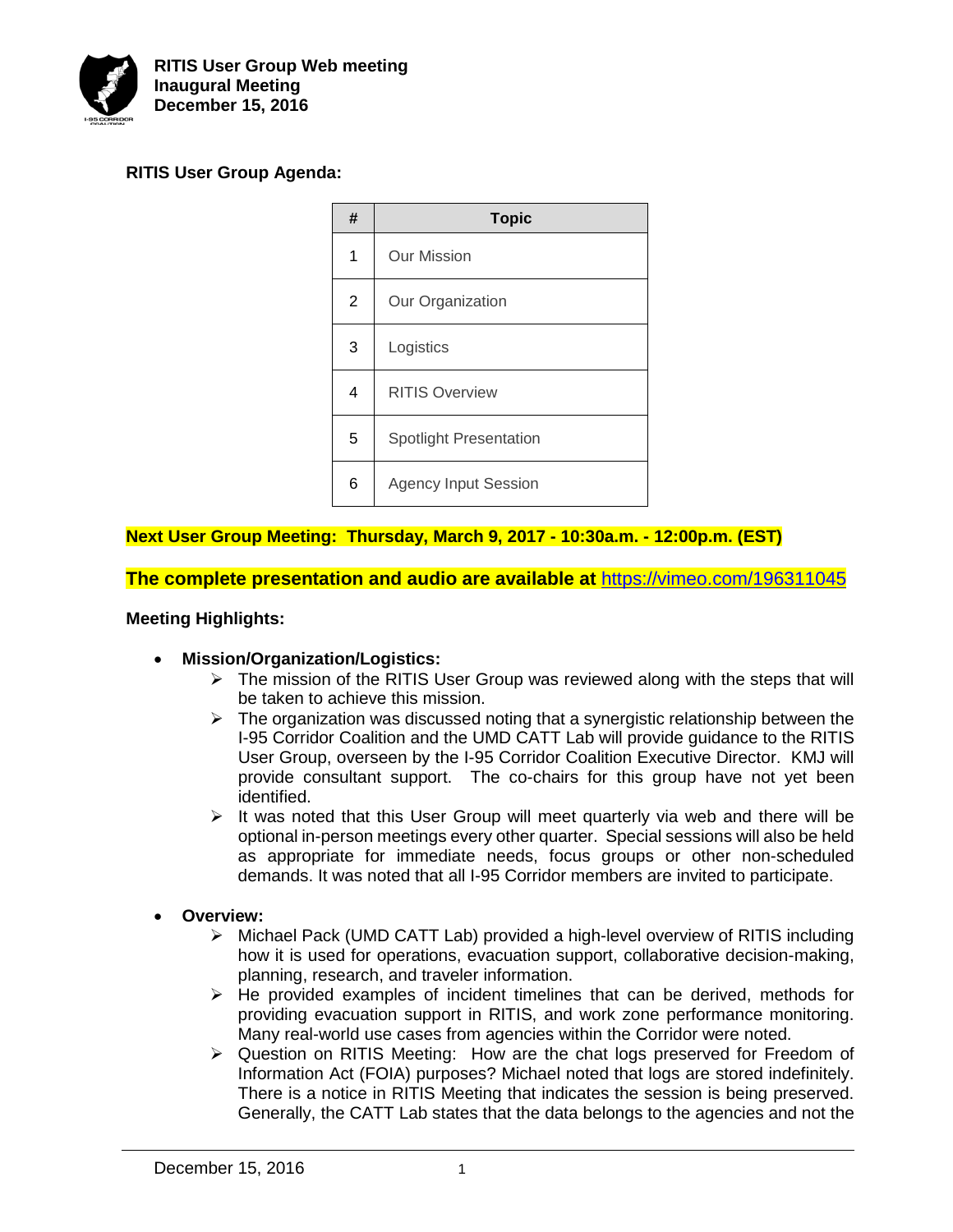

# **RITIS User Group Agenda:**



# **Next User Group Meeting: Thursday, March 9, 2017 - 10:30a.m. - 12:00p.m. (EST)**

**The complete presentation and audio are available at** <https://vimeo.com/196311045>

### **Meeting Highlights:**

- **Mission/Organization/Logistics:**
	- $\triangleright$  The mission of the RITIS User Group was reviewed along with the steps that will be taken to achieve this mission.
	- $\triangleright$  The organization was discussed noting that a synergistic relationship between the I-95 Corridor Coalition and the UMD CATT Lab will provide guidance to the RITIS User Group, overseen by the I-95 Corridor Coalition Executive Director. KMJ will provide consultant support. The co-chairs for this group have not yet been identified.
	- $\triangleright$  It was noted that this User Group will meet quarterly via web and there will be optional in-person meetings every other quarter. Special sessions will also be held as appropriate for immediate needs, focus groups or other non-scheduled demands. It was noted that all I-95 Corridor members are invited to participate.
- **Overview:**
	- Michael Pack (UMD CATT Lab) provided a high-level overview of RITIS including how it is used for operations, evacuation support, collaborative decision-making, planning, research, and traveler information.
	- $\triangleright$  He provided examples of incident timelines that can be derived, methods for providing evacuation support in RITIS, and work zone performance monitoring. Many real-world use cases from agencies within the Corridor were noted.
	- $\triangleright$  Question on RITIS Meeting: How are the chat logs preserved for Freedom of Information Act (FOIA) purposes? Michael noted that logs are stored indefinitely. There is a notice in RITIS Meeting that indicates the session is being preserved. Generally, the CATT Lab states that the data belongs to the agencies and not the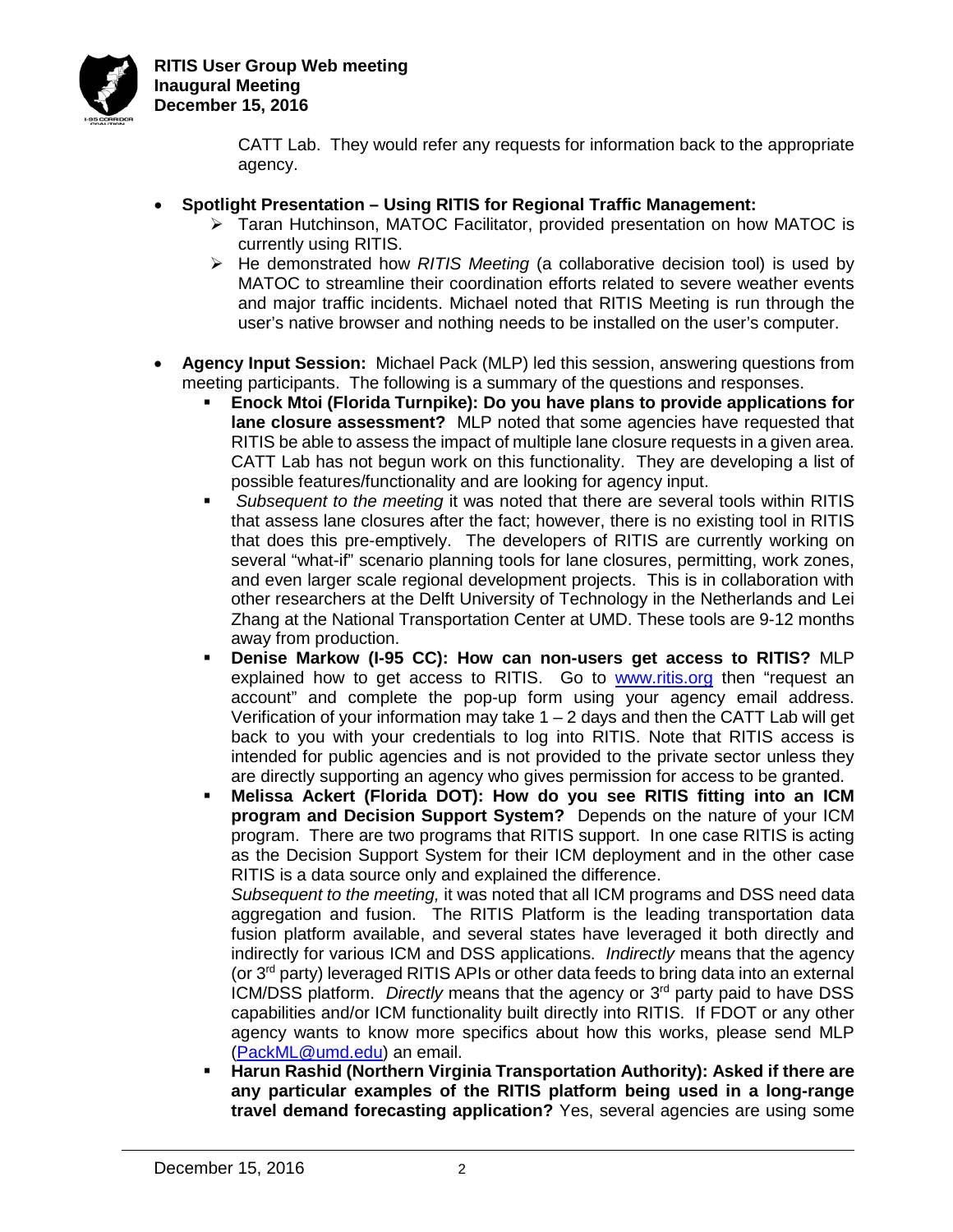

CATT Lab. They would refer any requests for information back to the appropriate agency.

- **Spotlight Presentation – Using RITIS for Regional Traffic Management:**
	- $\triangleright$  Taran Hutchinson, MATOC Facilitator, provided presentation on how MATOC is currently using RITIS.
	- He demonstrated how *RITIS Meeting* (a collaborative decision tool) is used by MATOC to streamline their coordination efforts related to severe weather events and major traffic incidents. Michael noted that RITIS Meeting is run through the user's native browser and nothing needs to be installed on the user's computer.
- **Agency Input Session:** Michael Pack (MLP) led this session, answering questions from meeting participants. The following is a summary of the questions and responses.
	- **Enock Mtoi (Florida Turnpike): Do you have plans to provide applications for lane closure assessment?** MLP noted that some agencies have requested that RITIS be able to assess the impact of multiple lane closure requests in a given area. CATT Lab has not begun work on this functionality. They are developing a list of possible features/functionality and are looking for agency input.
	- *Subsequent to the meeting* it was noted that there are several tools within RITIS that assess lane closures after the fact; however, there is no existing tool in RITIS that does this pre-emptively. The developers of RITIS are currently working on several "what-if" scenario planning tools for lane closures, permitting, work zones, and even larger scale regional development projects. This is in collaboration with other researchers at the Delft University of Technology in the Netherlands and Lei Zhang at the National Transportation Center at UMD. These tools are 9-12 months away from production.
	- **Denise Markow (I-95 CC): How can non-users get access to RITIS?** MLP explained how to get access to RITIS. Go to [www.ritis.org](http://www.ritis.org/) then "request an account" and complete the pop-up form using your agency email address. Verification of your information may take  $1 - 2$  days and then the CATT Lab will get back to you with your credentials to log into RITIS. Note that RITIS access is intended for public agencies and is not provided to the private sector unless they are directly supporting an agency who gives permission for access to be granted.
	- **Melissa Ackert (Florida DOT): How do you see RITIS fitting into an ICM program and Decision Support System?** Depends on the nature of your ICM program. There are two programs that RITIS support. In one case RITIS is acting as the Decision Support System for their ICM deployment and in the other case RITIS is a data source only and explained the difference.

*Subsequent to the meeting,* it was noted that all ICM programs and DSS need data aggregation and fusion. The RITIS Platform is the leading transportation data fusion platform available, and several states have leveraged it both directly and indirectly for various ICM and DSS applications. *Indirectly* means that the agency (or  $3<sup>rd</sup>$  party) leveraged RITIS APIs or other data feeds to bring data into an external ICM/DSS platform. *Directly* means that the agency or 3rd party paid to have DSS capabilities and/or ICM functionality built directly into RITIS. If FDOT or any other agency wants to know more specifics about how this works, please send MLP [\(PackML@umd.edu\)](mailto:PackML@umd.edu) an email.

 **Harun Rashid (Northern Virginia Transportation Authority): Asked if there are any particular examples of the RITIS platform being used in a long-range travel demand forecasting application?** Yes, several agencies are using some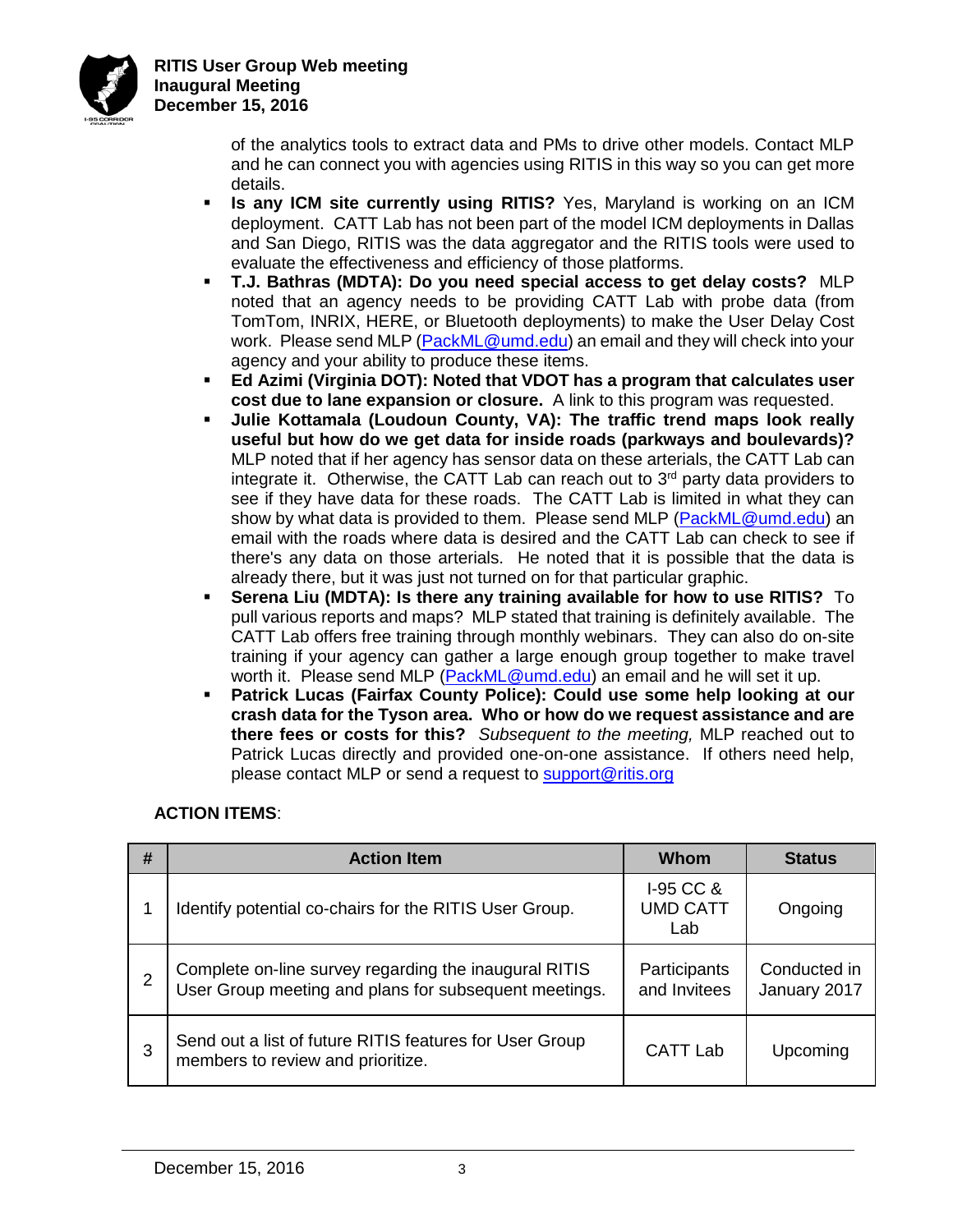

**RITIS User Group Web meeting Inaugural Meeting December 15, 2016**

> of the analytics tools to extract data and PMs to drive other models. Contact MLP and he can connect you with agencies using RITIS in this way so you can get more details.

- **Is any ICM site currently using RITIS?** Yes, Maryland is working on an ICM deployment. CATT Lab has not been part of the model ICM deployments in Dallas and San Diego, RITIS was the data aggregator and the RITIS tools were used to evaluate the effectiveness and efficiency of those platforms.
- **T.J. Bathras (MDTA): Do you need special access to get delay costs?** MLP noted that an agency needs to be providing CATT Lab with probe data (from TomTom, INRIX, HERE, or Bluetooth deployments) to make the User Delay Cost work. Please send MLP [\(PackML@umd.edu\)](mailto:PackML@umd.edu) an email and they will check into your agency and your ability to produce these items.
- **Ed Azimi (Virginia DOT): Noted that VDOT has a program that calculates user cost due to lane expansion or closure.** A link to this program was requested.
- **Julie Kottamala (Loudoun County, VA): The traffic trend maps look really useful but how do we get data for inside roads (parkways and boulevards)?**  MLP noted that if her agency has sensor data on these arterials, the CATT Lab can integrate it. Otherwise, the CATT Lab can reach out to  $3<sup>rd</sup>$  party data providers to see if they have data for these roads. The CATT Lab is limited in what they can show by what data is provided to them. Please send MLP [\(PackML@umd.edu\)](mailto:PackML@umd.edu) an email with the roads where data is desired and the CATT Lab can check to see if there's any data on those arterials. He noted that it is possible that the data is already there, but it was just not turned on for that particular graphic.
- **Serena Liu (MDTA): Is there any training available for how to use RITIS?** To pull various reports and maps? MLP stated that training is definitely available. The CATT Lab offers free training through monthly webinars. They can also do on-site training if your agency can gather a large enough group together to make travel worth it. Please send MLP [\(PackML@umd.edu\)](mailto:PackML@umd.edu) an email and he will set it up.
- **Patrick Lucas (Fairfax County Police): Could use some help looking at our crash data for the Tyson area. Who or how do we request assistance and are there fees or costs for this?** *Subsequent to the meeting,* MLP reached out to Patrick Lucas directly and provided one-on-one assistance. If others need help, please contact MLP or send a request to [support@ritis.org](mailto:support@ritis.org)

## **ACTION ITEMS**:

| # | <b>Action Item</b>                                                                                             | Whom                                  | <b>Status</b>                |
|---|----------------------------------------------------------------------------------------------------------------|---------------------------------------|------------------------------|
|   | Identify potential co-chairs for the RITIS User Group.                                                         | $I-95$ CC &<br><b>UMD CATT</b><br>Lab | Ongoing                      |
| 2 | Complete on-line survey regarding the inaugural RITIS<br>User Group meeting and plans for subsequent meetings. | Participants<br>and Invitees          | Conducted in<br>January 2017 |
| 3 | Send out a list of future RITIS features for User Group<br>members to review and prioritize.                   | <b>CATT Lab</b>                       | Upcoming                     |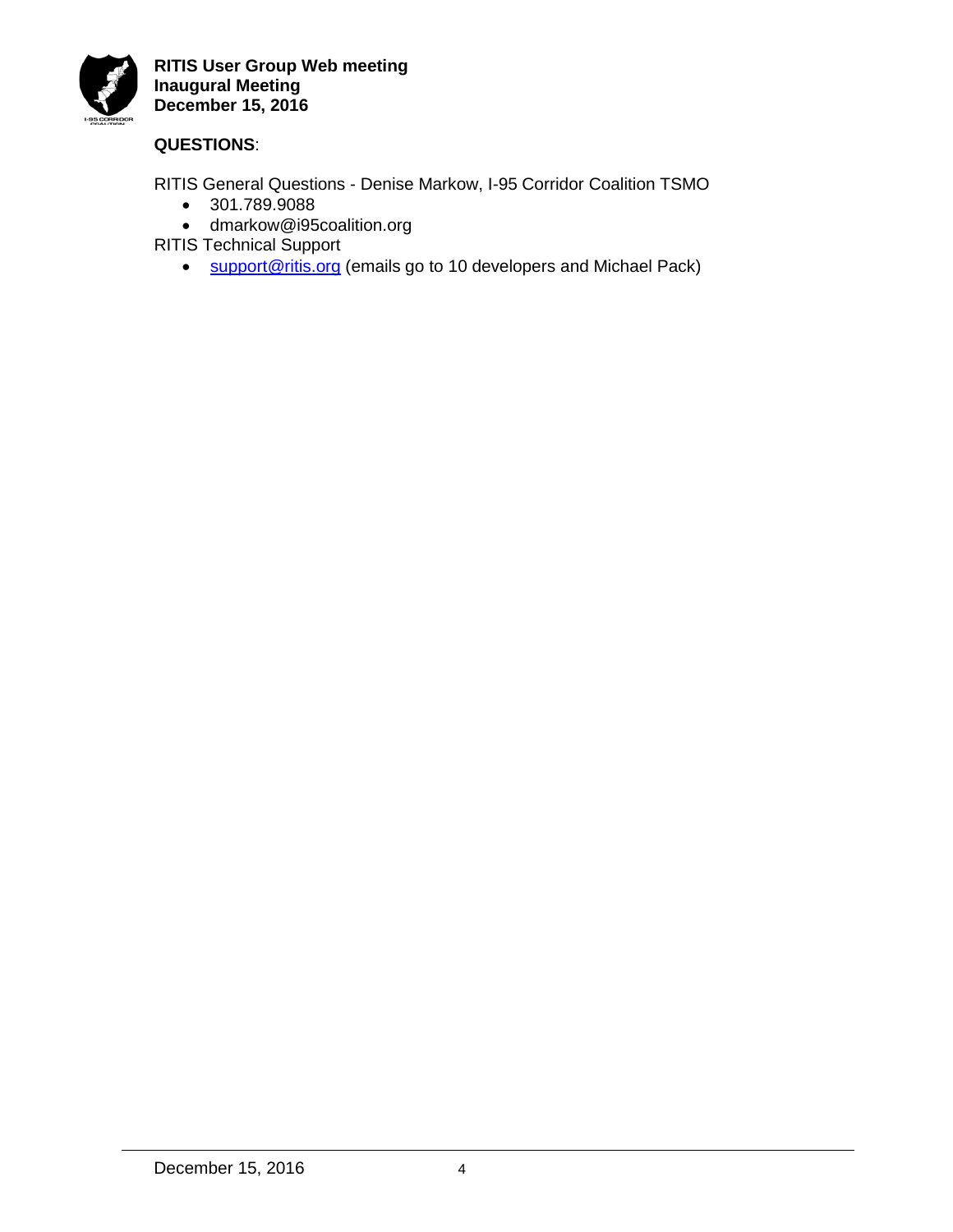

## **QUESTIONS**:

RITIS General Questions - Denise Markow, I-95 Corridor Coalition TSMO

- 301.789.9088
- dmarkow@i95coalition.org

RITIS Technical Support

• [support@ritis.org](mailto:support@ritis.org) (emails go to 10 developers and Michael Pack)